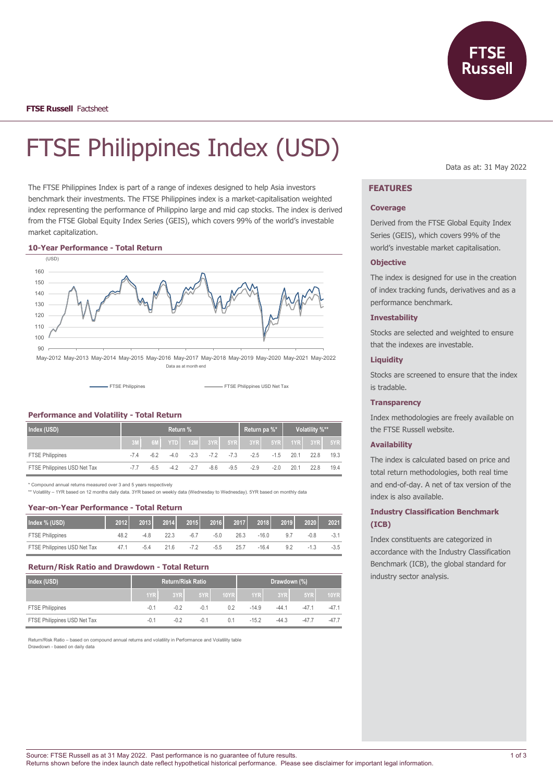

**FTSE Russell** Factsheet

# FTSE Philippines Index (USD)

The FTSE Philippines Index is part of a range of indexes designed to help Asia investors benchmark their investments. The FTSE Philippines index is a market-capitalisation weighted index representing the performance of Philippino large and mid cap stocks. The index is derived from the FTSE Global Equity Index Series (GEIS), which covers 99% of the world's investable market capitalization.

#### **10-Year Performance - Total Return**



Data as at month end

FTSE Philippines FTSE Philippines USD Net Tax

#### **Performance and Volatility - Total Return**

| Index (USD)                  | Return % |       |        |       |      |        | Return pa %*                                        |        | Volatility %** |      |      |
|------------------------------|----------|-------|--------|-------|------|--------|-----------------------------------------------------|--------|----------------|------|------|
|                              |          |       |        |       |      |        | $\sqrt{6M}$ YTD 12M 3YR 5YR 3YR 5YR 1YR 3YR 5YR     |        |                |      |      |
| <b>FTSE Philippines</b>      | -74      | $-62$ |        |       |      |        | $-4.0$ $-2.3$ $-7.2$ $-7.3$ $-2.5$ $-1.5$ 20.1 22.8 |        |                |      | 19.3 |
| FTSE Philippines USD Net Tax |          | -6.5  | $-4.2$ | $-27$ | -8.6 | $-9.5$ | $-2.9$                                              | $-2.0$ | 20.1           | 22.8 | 19.4 |

\* Compound annual returns measured over 3 and 5 years respectively

\*\* Volatility – 1YR based on 12 months daily data. 3YR based on weekly data (Wednesday to Wednesday). 5YR based on monthly data

#### **Year-on-Year Performance - Total Return**

| Index % (USD)                | 2012 | 2013   | 2014 | 2015   | 2016   | 2017 | 2018    | 2019 | 2020 | 2021   |
|------------------------------|------|--------|------|--------|--------|------|---------|------|------|--------|
| <b>FTSE Philippines</b>      | 48.2 | -4.8   | 22.3 | $-6.7$ | $-5.0$ | 26.3 | $-16.0$ | 9.   | -0.8 | $-3.1$ |
| FTSE Philippines USD Net Tax | 47.1 | $-5.4$ | 21.6 | $-7.2$ | $-5.5$ | 25.7 | $-16.4$ | 9.2  |      | $-3.5$ |

#### **Return/Risk Ratio and Drawdown - Total Return**

| Index (USD)                  | <b>Return/Risk Ratio</b> |        |        | Drawdown (%) |                  |         |        |             |
|------------------------------|--------------------------|--------|--------|--------------|------------------|---------|--------|-------------|
|                              | 1YR                      | 3YR    | 5YR    | 10YR         | 1YR <sub>I</sub> | 3YR     | 5YR    | <b>10YR</b> |
| <b>FTSE Philippines</b>      | $-0.1$                   | $-0.2$ | $-0.1$ | 02           | $-14.9$          | $-44.1$ | $-471$ | $-47.1$     |
| FTSE Philippines USD Net Tax | $-0.1$                   | $-0.2$ | $-0.1$ | 0.1          | $-152$           | $-44.3$ | $-477$ | $-47.7$     |

Return/Risk Ratio – based on compound annual returns and volatility in Performance and Volatility table Drawdown - based on daily data

Data as at: 31 May 2022

## **FEATURES**

#### **Coverage**

Derived from the FTSE Global Equity Index Series (GEIS), which covers 99% of the world's investable market capitalisation.

#### **Objective**

The index is designed for use in the creation of index tracking funds, derivatives and as a performance benchmark.

#### **Investability**

Stocks are selected and weighted to ensure that the indexes are investable.

## **Liquidity**

Stocks are screened to ensure that the index is tradable.

#### **Transparency**

Index methodologies are freely available on the FTSE Russell website.

#### **Availability**

The index is calculated based on price and total return methodologies, both real time and end-of-day. A net of tax version of the index is also available.

## **Industry Classification Benchmark (ICB)**

Index constituents are categorized in accordance with the Industry Classification Benchmark (ICB), the global standard for industry sector analysis.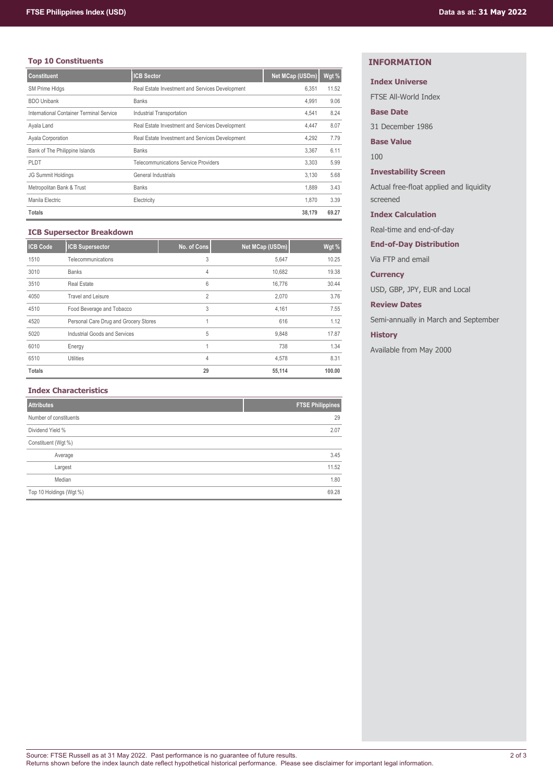# **Top 10 Constituents**

| <b>Constituent</b>                       | <b>ICB Sector</b>                               | Net MCap (USDm) | Wgt % |
|------------------------------------------|-------------------------------------------------|-----------------|-------|
| SM Prime HIdgs                           | Real Estate Investment and Services Development | 6,351           | 11.52 |
| <b>BDO Unibank</b>                       | <b>Banks</b>                                    | 4,991           | 9.06  |
| International Container Terminal Service | Industrial Transportation                       | 4,541           | 8.24  |
| Ayala Land                               | Real Estate Investment and Services Development | 4,447           | 8.07  |
| Ayala Corporation                        | Real Estate Investment and Services Development | 4,292           | 7.79  |
| Bank of The Philippine Islands           | <b>Banks</b>                                    | 3,367           | 6.11  |
| <b>PLDT</b>                              | <b>Telecommunications Service Providers</b>     | 3.303           | 5.99  |
| <b>JG Summit Holdings</b>                | General Industrials                             | 3.130           | 5.68  |
| Metropolitan Bank & Trust                | <b>Banks</b>                                    | 1,889           | 3.43  |
| Manila Electric                          | Electricity                                     | 1.870           | 3.39  |
| <b>Totals</b>                            |                                                 | 38,179          | 69.27 |

## **ICB Supersector Breakdown**

| <b>ICB Code</b> | <b>ICB Supersector</b>                | No. of Cons    | Net MCap (USDm) | Wgt %  |
|-----------------|---------------------------------------|----------------|-----------------|--------|
| 1510            | Telecommunications                    | 3              | 5,647           | 10.25  |
| 3010            | <b>Banks</b>                          | 4              | 10,682          | 19.38  |
| 3510            | <b>Real Estate</b>                    | 6              | 16,776          | 30.44  |
| 4050            | Travel and Leisure                    | $\overline{2}$ | 2.070           | 3.76   |
| 4510            | Food Beverage and Tobacco             | 3              | 4,161           | 7.55   |
| 4520            | Personal Care Drug and Grocery Stores |                | 616             | 1.12   |
| 5020            | Industrial Goods and Services         | 5              | 9,848           | 17.87  |
| 6010            | Energy                                | 4              | 738             | 1.34   |
| 6510            | <b>Utilities</b>                      | 4              | 4,578           | 8.31   |
| <b>Totals</b>   |                                       | 29             | 55,114          | 100.00 |

## **Index Characteristics**

| <b>Attributes</b>       | <b>FTSE Philippines</b> |
|-------------------------|-------------------------|
| Number of constituents  | 29                      |
| Dividend Yield %        | 2.07                    |
| Constituent (Wgt %)     |                         |
| Average                 | 3.45                    |
| Largest                 | 11.52                   |
| Median                  | 1.80                    |
| Top 10 Holdings (Wgt %) | 69.28                   |

# **INFORMATION**

# **Index Universe**

FTSE All-World Index

## **Base Date**

31 December 1986

# **Base Value**

100

## **Investability Screen**

Actual free-float applied and liquidity screened

## **Index Calculation**

Real-time and end-of-day

## **End-of-Day Distribution**

Via FTP and email

## **Currency**

USD, GBP, JPY, EUR and Local

# **Review Dates**

Semi-annually in March and September

# **History**

Available from May 2000